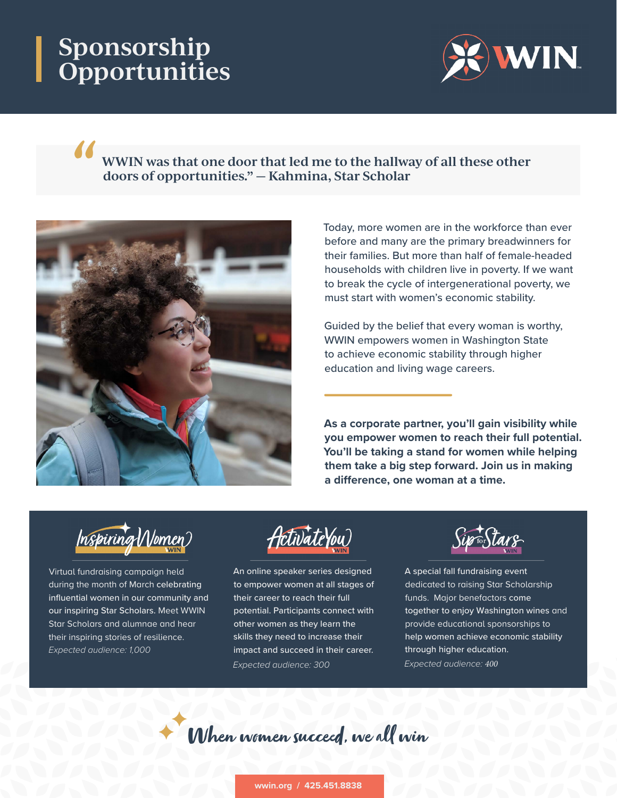# **Sponsorship Opportunities**



#### **WWIN was that one door that led me to the hallway of all these other doors of opportunities." — Kahmina, Star Scholar**



Today, more women are in the workforce than ever before and many are the primary breadwinners for their families. But more than half of female-headed households with children live in poverty. If we want to break the cycle of intergenerational poverty, we must start with women's economic stability.

Guided by the belief that every woman is worthy, WWIN empowers women in Washington State to achieve economic stability through higher education and living wage careers.

**As a corporate partner, you'll gain visibility while you empower women to reach their full potential. You'll be taking a stand for women while helping them take a big step forward. Join us in making a difference, one woman at a time.**



Virtual fundraising campaign held during the month of March celebrating influential women in our community and our inspiring Star Scholars. Meet WWIN Star Scholars and alumnae and hear their inspiring stories of resilience. *Expected audience: 1,000*

ActivateYou

An online speaker series designed to empower women at all stages of their career to reach their full potential. Participants connect with other women as they learn the skills they need to increase their impact and succeed in their career. *Expected audience: 300*

A special fall fundraising event dedicated to raising Star Scholarship funds. Major benefactors come together to enjoy Washington wines and provide educational sponsorships to help women achieve economic stability through higher education. *Expected audience: 400*

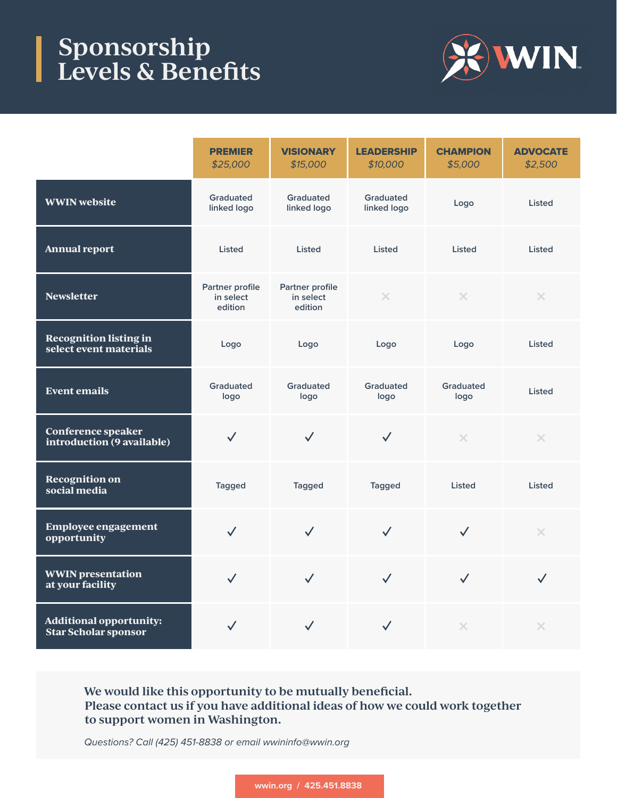### **Sponsorship Levels & Benefits**



|                                                               | <b>PREMIER</b><br>\$25,000              | <b>VISIONARY</b><br>\$15,000            | <b>LEADERSHIP</b><br>\$10,000 | <b>CHAMPION</b><br>\$5,000 | <b>ADVOCATE</b><br>\$2,500 |
|---------------------------------------------------------------|-----------------------------------------|-----------------------------------------|-------------------------------|----------------------------|----------------------------|
| <b>WWIN</b> website                                           | Graduated<br>linked logo                | Graduated<br>linked logo                | Graduated<br>linked logo      | Listed<br>Logo             |                            |
| <b>Annual report</b>                                          | <b>Listed</b>                           | <b>Listed</b>                           | <b>Listed</b>                 | <b>Listed</b>              | <b>Listed</b>              |
| <b>Newsletter</b>                                             | Partner profile<br>in select<br>edition | Partner profile<br>in select<br>edition | $\times$                      | $\times$                   | $\times$                   |
| <b>Recognition listing in</b><br>select event materials       | Logo                                    | Logo                                    | Logo                          | Logo                       | <b>Listed</b>              |
| <b>Event emails</b>                                           | Graduated<br>logo                       | Graduated<br>logo                       | Graduated<br>logo             | Graduated<br>logo          | <b>Listed</b>              |
| <b>Conference speaker</b><br>introduction (9 available)       | $\checkmark$                            | $\checkmark$                            | $\checkmark$                  | $\times$                   | $\times$                   |
| <b>Recognition on</b><br>social media                         | <b>Tagged</b>                           | <b>Tagged</b>                           | <b>Tagged</b>                 | <b>Listed</b>              | Listed                     |
| <b>Employee engagement</b><br>opportunity                     | $\checkmark$                            | $\checkmark$                            | $\checkmark$                  | $\checkmark$               | $\times$                   |
| <b>WWIN</b> presentation<br>at your facility                  | $\checkmark$                            | $\checkmark$                            | $\checkmark$                  | $\checkmark$               | $\checkmark$               |
| <b>Additional opportunity:</b><br><b>Star Scholar sponsor</b> | $\checkmark$                            | $\checkmark$                            | $\checkmark$                  | $\times$                   | $\times$                   |

**We would like this opportunity to be mutually beneficial. Please contact us if you have additional ideas of how we could work together to support women in Washington.**

*Questions? Call (425) 451-8838 or email wwininfo@wwin.org*

**wwin.org / 425.451.8838**